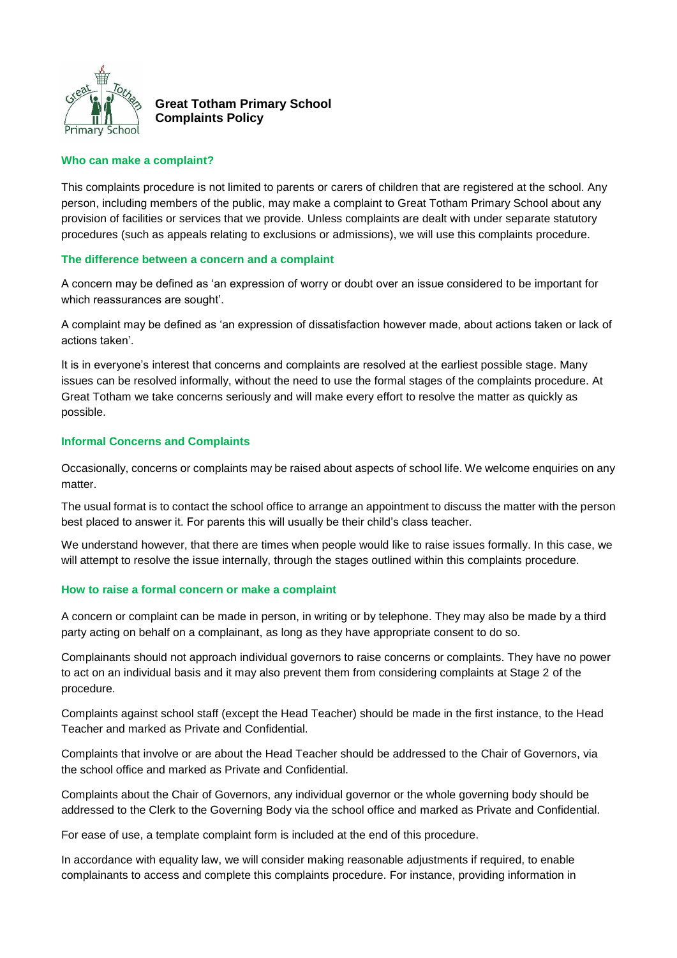

# **Great Totham Primary School Complaints Policy**

#### **Who can make a complaint?**

This complaints procedure is not limited to parents or carers of children that are registered at the school. Any person, including members of the public, may make a complaint to Great Totham Primary School about any provision of facilities or services that we provide. Unless complaints are dealt with under separate statutory procedures (such as appeals relating to exclusions or admissions), we will use this complaints procedure.

#### **The difference between a concern and a complaint**

A concern may be defined as 'an expression of worry or doubt over an issue considered to be important for which reassurances are sought'.

A complaint may be defined as 'an expression of dissatisfaction however made, about actions taken or lack of actions taken'.

It is in everyone's interest that concerns and complaints are resolved at the earliest possible stage. Many issues can be resolved informally, without the need to use the formal stages of the complaints procedure. At Great Totham we take concerns seriously and will make every effort to resolve the matter as quickly as possible.

#### **Informal Concerns and Complaints**

Occasionally, concerns or complaints may be raised about aspects of school life. We welcome enquiries on any matter.

The usual format is to contact the school office to arrange an appointment to discuss the matter with the person best placed to answer it. For parents this will usually be their child's class teacher.

We understand however, that there are times when people would like to raise issues formally. In this case, we will attempt to resolve the issue internally, through the stages outlined within this complaints procedure.

#### **How to raise a formal concern or make a complaint**

A concern or complaint can be made in person, in writing or by telephone. They may also be made by a third party acting on behalf on a complainant, as long as they have appropriate consent to do so.

Complainants should not approach individual governors to raise concerns or complaints. They have no power to act on an individual basis and it may also prevent them from considering complaints at Stage 2 of the procedure.

Complaints against school staff (except the Head Teacher) should be made in the first instance, to the Head Teacher and marked as Private and Confidential.

Complaints that involve or are about the Head Teacher should be addressed to the Chair of Governors, via the school office and marked as Private and Confidential.

Complaints about the Chair of Governors, any individual governor or the whole governing body should be addressed to the Clerk to the Governing Body via the school office and marked as Private and Confidential.

For ease of use, a template complaint form is included at the end of this procedure.

In accordance with equality law, we will consider making reasonable adjustments if required, to enable complainants to access and complete this complaints procedure. For instance, providing information in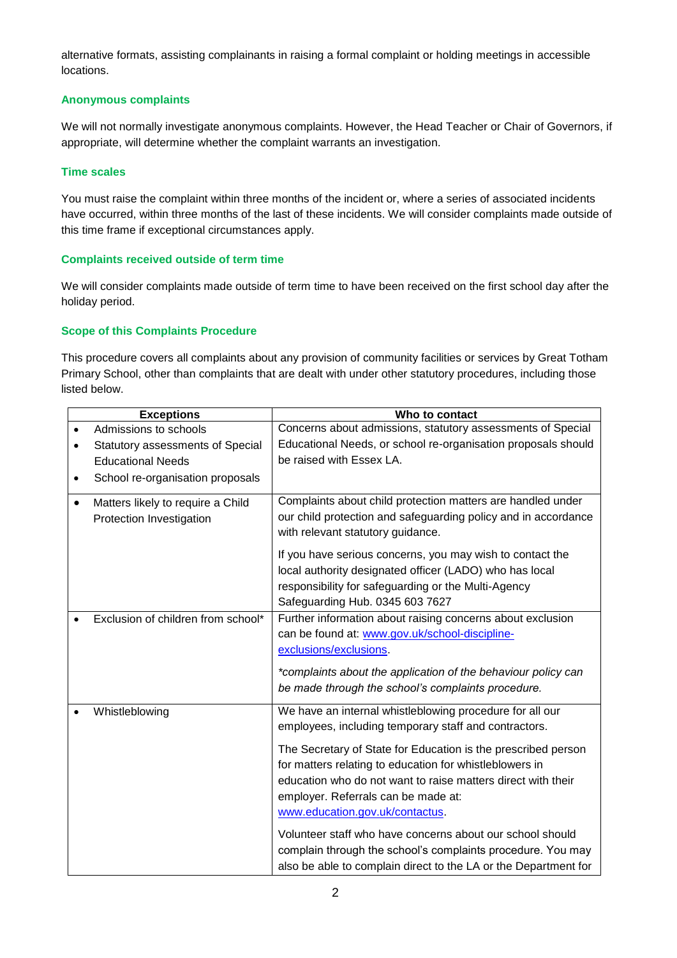alternative formats, assisting complainants in raising a formal complaint or holding meetings in accessible locations.

# **Anonymous complaints**

We will not normally investigate anonymous complaints. However, the Head Teacher or Chair of Governors, if appropriate, will determine whether the complaint warrants an investigation.

#### **Time scales**

You must raise the complaint within three months of the incident or, where a series of associated incidents have occurred, within three months of the last of these incidents. We will consider complaints made outside of this time frame if exceptional circumstances apply.

# **Complaints received outside of term time**

We will consider complaints made outside of term time to have been received on the first school day after the holiday period.

# **Scope of this Complaints Procedure**

This procedure covers all complaints about any provision of community facilities or services by Great Totham Primary School, other than complaints that are dealt with under other statutory procedures, including those listed below.

|           | <b>Exceptions</b>                  | Who to contact                                                  |
|-----------|------------------------------------|-----------------------------------------------------------------|
|           | Admissions to schools              | Concerns about admissions, statutory assessments of Special     |
|           | Statutory assessments of Special   | Educational Needs, or school re-organisation proposals should   |
|           | <b>Educational Needs</b>           | be raised with Essex LA.                                        |
| $\bullet$ | School re-organisation proposals   |                                                                 |
|           | Matters likely to require a Child  | Complaints about child protection matters are handled under     |
|           | Protection Investigation           | our child protection and safeguarding policy and in accordance  |
|           |                                    | with relevant statutory guidance.                               |
|           |                                    | If you have serious concerns, you may wish to contact the       |
|           |                                    | local authority designated officer (LADO) who has local         |
|           |                                    | responsibility for safeguarding or the Multi-Agency             |
|           |                                    | Safeguarding Hub. 0345 603 7627                                 |
|           | Exclusion of children from school* | Further information about raising concerns about exclusion      |
|           |                                    | can be found at: www.gov.uk/school-discipline-                  |
|           |                                    | exclusions/exclusions.                                          |
|           |                                    | *complaints about the application of the behaviour policy can   |
|           |                                    | be made through the school's complaints procedure.              |
|           |                                    |                                                                 |
|           | Whistleblowing                     | We have an internal whistleblowing procedure for all our        |
|           |                                    | employees, including temporary staff and contractors.           |
|           |                                    | The Secretary of State for Education is the prescribed person   |
|           |                                    | for matters relating to education for whistleblowers in         |
|           |                                    | education who do not want to raise matters direct with their    |
|           |                                    | employer. Referrals can be made at:                             |
|           |                                    | www.education.gov.uk/contactus.                                 |
|           |                                    | Volunteer staff who have concerns about our school should       |
|           |                                    | complain through the school's complaints procedure. You may     |
|           |                                    | also be able to complain direct to the LA or the Department for |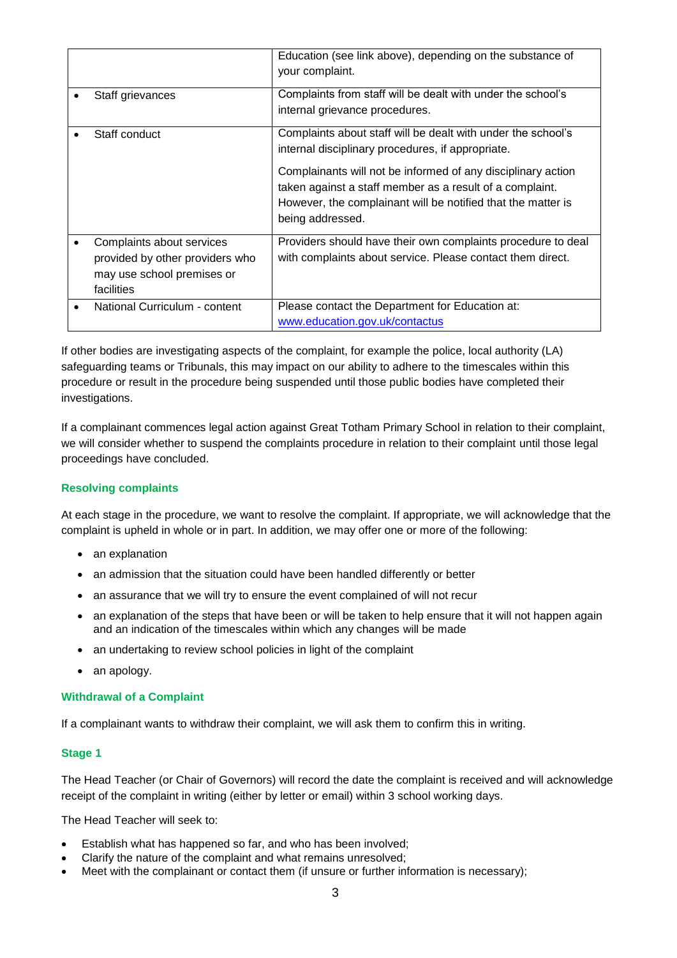|                                                                                                          | Education (see link above), depending on the substance of<br>your complaint.                                                                                                                                 |
|----------------------------------------------------------------------------------------------------------|--------------------------------------------------------------------------------------------------------------------------------------------------------------------------------------------------------------|
| Staff grievances                                                                                         | Complaints from staff will be dealt with under the school's<br>internal grievance procedures.                                                                                                                |
| Staff conduct                                                                                            | Complaints about staff will be dealt with under the school's<br>internal disciplinary procedures, if appropriate.                                                                                            |
|                                                                                                          | Complainants will not be informed of any disciplinary action<br>taken against a staff member as a result of a complaint.<br>However, the complainant will be notified that the matter is<br>being addressed. |
| Complaints about services<br>provided by other providers who<br>may use school premises or<br>facilities | Providers should have their own complaints procedure to deal<br>with complaints about service. Please contact them direct.                                                                                   |
| National Curriculum - content                                                                            | Please contact the Department for Education at:<br>www.education.gov.uk/contactus                                                                                                                            |

If other bodies are investigating aspects of the complaint, for example the police, local authority (LA) safeguarding teams or Tribunals, this may impact on our ability to adhere to the timescales within this procedure or result in the procedure being suspended until those public bodies have completed their investigations.

If a complainant commences legal action against Great Totham Primary School in relation to their complaint, we will consider whether to suspend the complaints procedure in relation to their complaint until those legal proceedings have concluded.

#### **Resolving complaints**

At each stage in the procedure, we want to resolve the complaint. If appropriate, we will acknowledge that the complaint is upheld in whole or in part. In addition, we may offer one or more of the following:

- an explanation
- an admission that the situation could have been handled differently or better
- an assurance that we will try to ensure the event complained of will not recur
- an explanation of the steps that have been or will be taken to help ensure that it will not happen again and an indication of the timescales within which any changes will be made
- an undertaking to review school policies in light of the complaint
- an apology.

#### **Withdrawal of a Complaint**

If a complainant wants to withdraw their complaint, we will ask them to confirm this in writing.

#### **Stage 1**

The Head Teacher (or Chair of Governors) will record the date the complaint is received and will acknowledge receipt of the complaint in writing (either by letter or email) within 3 school working days.

The Head Teacher will seek to:

- Establish what has happened so far, and who has been involved;
- Clarify the nature of the complaint and what remains unresolved;
- Meet with the complainant or contact them (if unsure or further information is necessary);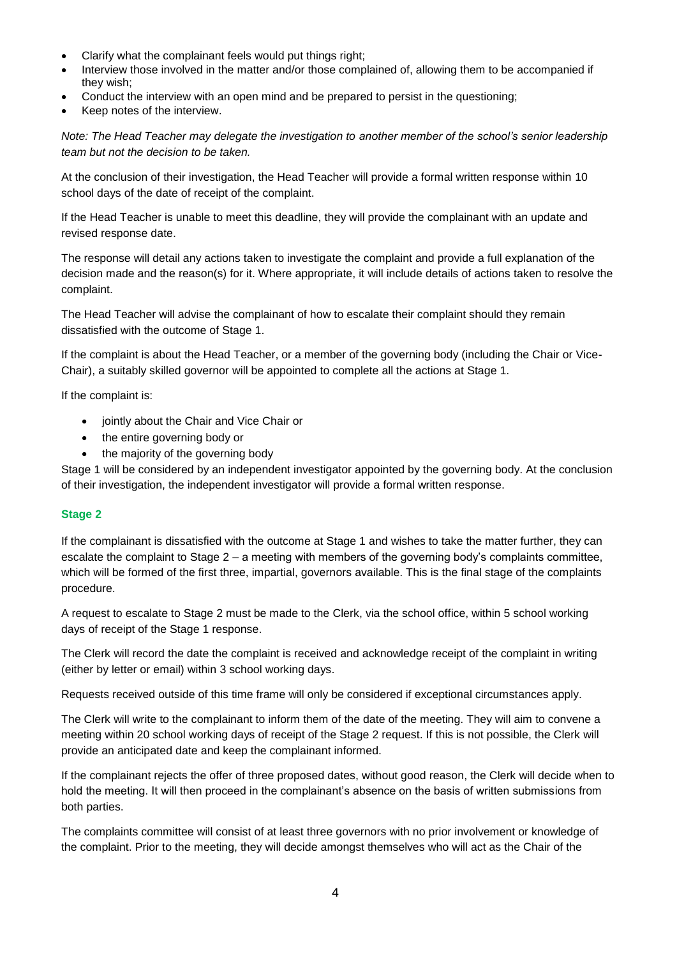- Clarify what the complainant feels would put things right;
- Interview those involved in the matter and/or those complained of, allowing them to be accompanied if they wish;
- Conduct the interview with an open mind and be prepared to persist in the questioning;
- Keep notes of the interview.

*Note: The Head Teacher may delegate the investigation to another member of the school's senior leadership team but not the decision to be taken.*

At the conclusion of their investigation, the Head Teacher will provide a formal written response within 10 school days of the date of receipt of the complaint.

If the Head Teacher is unable to meet this deadline, they will provide the complainant with an update and revised response date.

The response will detail any actions taken to investigate the complaint and provide a full explanation of the decision made and the reason(s) for it. Where appropriate, it will include details of actions taken to resolve the complaint.

The Head Teacher will advise the complainant of how to escalate their complaint should they remain dissatisfied with the outcome of Stage 1.

If the complaint is about the Head Teacher, or a member of the governing body (including the Chair or Vice-Chair), a suitably skilled governor will be appointed to complete all the actions at Stage 1.

If the complaint is:

- jointly about the Chair and Vice Chair or
- the entire governing body or
- the majority of the governing body

Stage 1 will be considered by an independent investigator appointed by the governing body. At the conclusion of their investigation, the independent investigator will provide a formal written response.

# **Stage 2**

If the complainant is dissatisfied with the outcome at Stage 1 and wishes to take the matter further, they can escalate the complaint to Stage 2 – a meeting with members of the governing body's complaints committee, which will be formed of the first three, impartial, governors available. This is the final stage of the complaints procedure.

A request to escalate to Stage 2 must be made to the Clerk, via the school office, within 5 school working days of receipt of the Stage 1 response.

The Clerk will record the date the complaint is received and acknowledge receipt of the complaint in writing (either by letter or email) within 3 school working days.

Requests received outside of this time frame will only be considered if exceptional circumstances apply.

The Clerk will write to the complainant to inform them of the date of the meeting. They will aim to convene a meeting within 20 school working days of receipt of the Stage 2 request. If this is not possible, the Clerk will provide an anticipated date and keep the complainant informed.

If the complainant rejects the offer of three proposed dates, without good reason, the Clerk will decide when to hold the meeting. It will then proceed in the complainant's absence on the basis of written submissions from both parties.

The complaints committee will consist of at least three governors with no prior involvement or knowledge of the complaint. Prior to the meeting, they will decide amongst themselves who will act as the Chair of the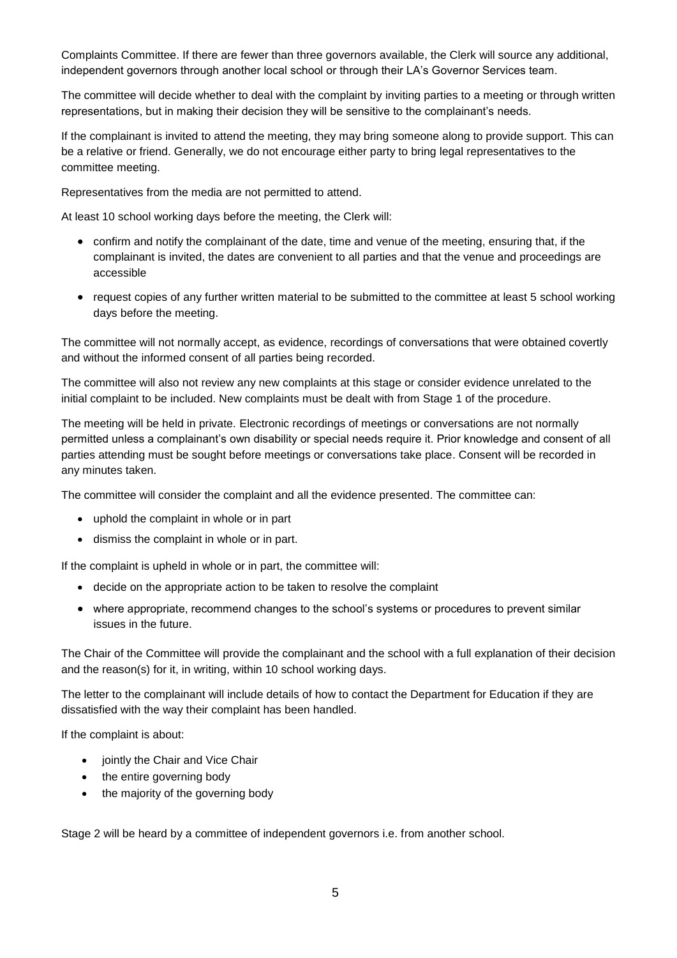Complaints Committee. If there are fewer than three governors available, the Clerk will source any additional, independent governors through another local school or through their LA's Governor Services team.

The committee will decide whether to deal with the complaint by inviting parties to a meeting or through written representations, but in making their decision they will be sensitive to the complainant's needs.

If the complainant is invited to attend the meeting, they may bring someone along to provide support. This can be a relative or friend. Generally, we do not encourage either party to bring legal representatives to the committee meeting.

Representatives from the media are not permitted to attend.

At least 10 school working days before the meeting, the Clerk will:

- confirm and notify the complainant of the date, time and venue of the meeting, ensuring that, if the complainant is invited, the dates are convenient to all parties and that the venue and proceedings are accessible
- request copies of any further written material to be submitted to the committee at least 5 school working days before the meeting.

The committee will not normally accept, as evidence, recordings of conversations that were obtained covertly and without the informed consent of all parties being recorded.

The committee will also not review any new complaints at this stage or consider evidence unrelated to the initial complaint to be included. New complaints must be dealt with from Stage 1 of the procedure.

The meeting will be held in private. Electronic recordings of meetings or conversations are not normally permitted unless a complainant's own disability or special needs require it. Prior knowledge and consent of all parties attending must be sought before meetings or conversations take place. Consent will be recorded in any minutes taken.

The committee will consider the complaint and all the evidence presented. The committee can:

- uphold the complaint in whole or in part
- dismiss the complaint in whole or in part.

If the complaint is upheld in whole or in part, the committee will:

- decide on the appropriate action to be taken to resolve the complaint
- where appropriate, recommend changes to the school's systems or procedures to prevent similar issues in the future.

The Chair of the Committee will provide the complainant and the school with a full explanation of their decision and the reason(s) for it, in writing, within 10 school working days.

The letter to the complainant will include details of how to contact the Department for Education if they are dissatisfied with the way their complaint has been handled.

If the complaint is about:

- jointly the Chair and Vice Chair
- the entire governing body
- the majority of the governing body

Stage 2 will be heard by a committee of independent governors i.e. from another school.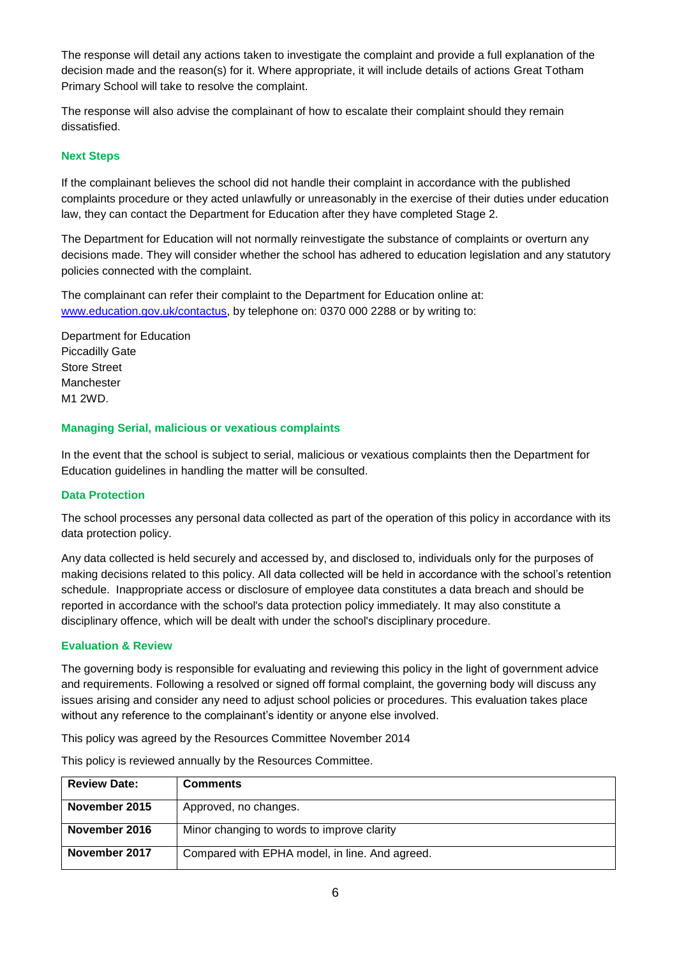The response will detail any actions taken to investigate the complaint and provide a full explanation of the decision made and the reason(s) for it. Where appropriate, it will include details of actions Great Totham Primary School will take to resolve the complaint.

The response will also advise the complainant of how to escalate their complaint should they remain dissatisfied.

#### **Next Steps**

If the complainant believes the school did not handle their complaint in accordance with the published complaints procedure or they acted unlawfully or unreasonably in the exercise of their duties under education law, they can contact the Department for Education after they have completed Stage 2.

The Department for Education will not normally reinvestigate the substance of complaints or overturn any decisions made. They will consider whether the school has adhered to education legislation and any statutory policies connected with the complaint.

The complainant can refer their complaint to the Department for Education online at: [www.education.gov.uk/contactus,](http://www.education.gov.uk/contactus) by telephone on: 0370 000 2288 or by writing to:

Department for Education Piccadilly Gate Store Street Manchester M1 2WD.

# **Managing Serial, malicious or vexatious complaints**

In the event that the school is subject to serial, malicious or vexatious complaints then the Department for Education guidelines in handling the matter will be consulted.

#### **Data Protection**

The school processes any personal data collected as part of the operation of this policy in accordance with its data protection policy.

Any data collected is held securely and accessed by, and disclosed to, individuals only for the purposes of making decisions related to this policy. All data collected will be held in accordance with the school's retention schedule. Inappropriate access or disclosure of employee data constitutes a data breach and should be reported in accordance with the school's data protection policy immediately. It may also constitute a disciplinary offence, which will be dealt with under the school's disciplinary procedure.

#### **Evaluation & Review**

The governing body is responsible for evaluating and reviewing this policy in the light of government advice and requirements. Following a resolved or signed off formal complaint, the governing body will discuss any issues arising and consider any need to adjust school policies or procedures. This evaluation takes place without any reference to the complainant's identity or anyone else involved.

This policy was agreed by the Resources Committee November 2014

| <b>Review Date:</b> | <b>Comments</b>                                |
|---------------------|------------------------------------------------|
|                     |                                                |
| November 2015       | Approved, no changes.                          |
| November 2016       | Minor changing to words to improve clarity     |
| November 2017       | Compared with EPHA model, in line. And agreed. |

This policy is reviewed annually by the Resources Committee.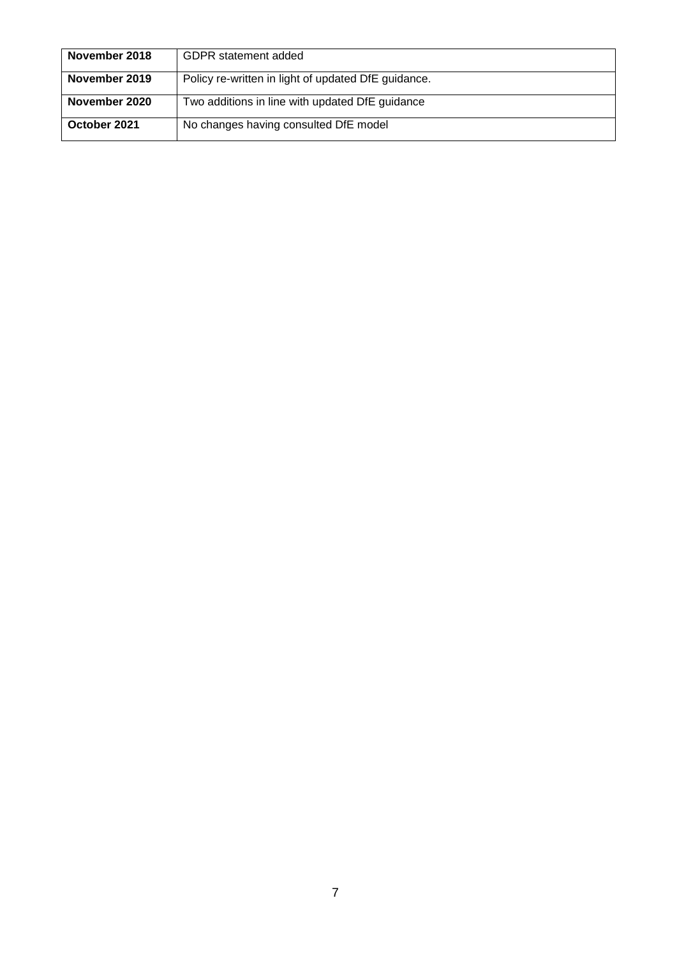| November 2018 | <b>GDPR</b> statement added                         |
|---------------|-----------------------------------------------------|
| November 2019 | Policy re-written in light of updated DfE guidance. |
| November 2020 | Two additions in line with updated DfE guidance     |
| October 2021  | No changes having consulted DfE model               |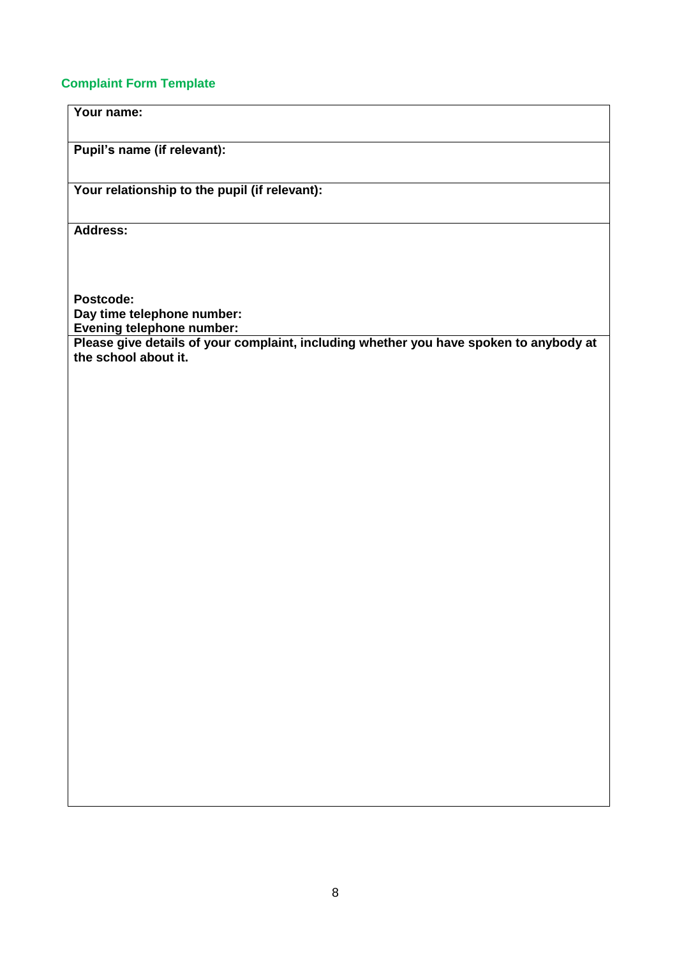# **Complaint Form Template**

**Your name:**

**Pupil's name (if relevant):**

**Your relationship to the pupil (if relevant):**

**Address:** 

**Postcode: Day time telephone number: Evening telephone number:**

**Please give details of your complaint, including whether you have spoken to anybody at the school about it.**